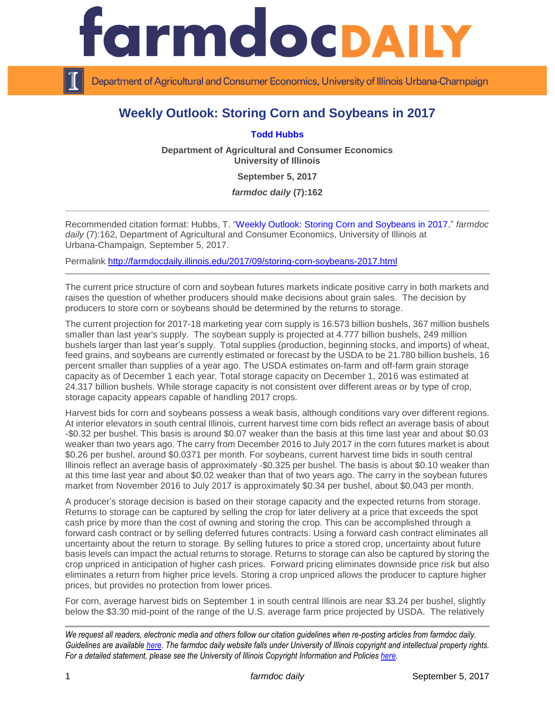

Department of Agricultural and Consumer Economics, University of Illinois Urbana-Champaign

## **Weekly Outlook: Storing Corn and Soybeans in 2017**

**[Todd Hubbs](http://ace.illinois.edu/directory/jhubbs3)**

**Department of Agricultural and Consumer Economics University of Illinois**

**September 5, 2017**

*farmdoc daily* **(7):162**

Recommended citation format: Hubbs, T. ["Weekly Outlook: Storing Corn and Soybeans in 2017.](http://farmdocdaily.illinois.edu/2017/09/storing-corn-soybeans-2017.html)" *farmdoc*  daily (7):162, Department of Agricultural and Consumer Economics, University of Illinois at Urbana-Champaign, September 5, 2017.

Permalink <http://farmdocdaily.illinois.edu/2017/09/storing-corn-soybeans-2017.html>

The current price structure of corn and soybean futures markets indicate positive carry in both markets and raises the question of whether producers should make decisions about grain sales. The decision by producers to store corn or soybeans should be determined by the returns to storage.

The current projection for 2017-18 marketing year corn supply is 16.573 billion bushels, 367 million bushels smaller than last year's supply. The soybean supply is projected at 4.777 billion bushels, 249 million bushels larger than last year's supply. Total supplies (production, beginning stocks, and imports) of wheat, feed grains, and soybeans are currently estimated or forecast by the USDA to be 21.780 billion bushels, 16 percent smaller than supplies of a year ago. The USDA estimates on-farm and off-farm grain storage capacity as of December 1 each year. Total storage capacity on December 1, 2016 was estimated at 24.317 billion bushels. While storage capacity is not consistent over different areas or by type of crop, storage capacity appears capable of handling 2017 crops.

Harvest bids for corn and soybeans possess a weak basis, although conditions vary over different regions. At interior elevators in south central Illinois, current harvest time corn bids reflect an average basis of about -\$0.32 per bushel. This basis is around \$0.07 weaker than the basis at this time last year and about \$0.03 weaker than two years ago. The carry from December 2016 to July 2017 in the corn futures market is about \$0.26 per bushel, around \$0.0371 per month. For soybeans, current harvest time bids in south central Illinois reflect an average basis of approximately -\$0.325 per bushel. The basis is about \$0.10 weaker than at this time last year and about \$0.02 weaker than that of two years ago. The carry in the soybean futures market from November 2016 to July 2017 is approximately \$0.34 per bushel, about \$0.043 per month.

A producer's storage decision is based on their storage capacity and the expected returns from storage. Returns to storage can be captured by selling the crop for later delivery at a price that exceeds the spot cash price by more than the cost of owning and storing the crop. This can be accomplished through a forward cash contract or by selling deferred futures contracts. Using a forward cash contract eliminates all uncertainty about the return to storage. By selling futures to price a stored crop, uncertainty about future basis levels can impact the actual returns to storage. Returns to storage can also be captured by storing the crop unpriced in anticipation of higher cash prices. Forward pricing eliminates downside price risk but also eliminates a return from higher price levels. Storing a crop unpriced allows the producer to capture higher prices, but provides no protection from lower prices.

For corn, average harvest bids on September 1 in south central Illinois are near \$3.24 per bushel, slightly below the \$3.30 mid-point of the range of the U.S. average farm price projected by USDA. The relatively

*We request all readers, electronic media and others follow our citation guidelines when re-posting articles from farmdoc daily. Guidelines are available [here.](http://farmdocdaily.illinois.edu/citationguide.html) The farmdoc daily website falls under University of Illinois copyright and intellectual property rights. For a detailed statement, please see the University of Illinois Copyright Information and Policies [here.](http://www.cio.illinois.edu/policies/copyright/)*